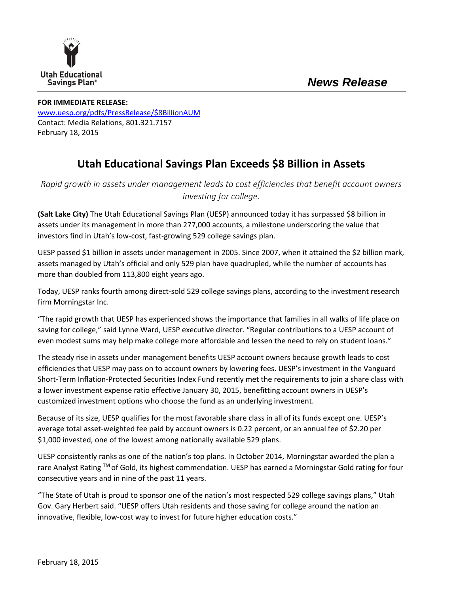

## **FOR IMMEDIATE RELEASE:** www.uesp.org/pdfs/PressRelease/\$8BillionAUM Contact: Media Relations, 801.321.7157

February 18, 2015

## **Utah Educational Savings Plan Exceeds \$8 Billion in Assets**

*Rapid growth in assets under management leads to cost efficiencies that benefit account owners investing for college.* 

**(Salt Lake City)** The Utah Educational Savings Plan (UESP) announced today it has surpassed \$8 billion in assets under its management in more than 277,000 accounts, a milestone underscoring the value that investors find in Utah's low‐cost, fast‐growing 529 college savings plan.

UESP passed \$1 billion in assets under management in 2005. Since 2007, when it attained the \$2 billion mark, assets managed by Utah's official and only 529 plan have quadrupled, while the number of accounts has more than doubled from 113,800 eight years ago.

Today, UESP ranks fourth among direct‐sold 529 college savings plans, according to the investment research firm Morningstar Inc.

"The rapid growth that UESP has experienced shows the importance that families in all walks of life place on saving for college," said Lynne Ward, UESP executive director. "Regular contributions to a UESP account of even modest sums may help make college more affordable and lessen the need to rely on student loans."

The steady rise in assets under management benefits UESP account owners because growth leads to cost efficiencies that UESP may pass on to account owners by lowering fees. UESP's investment in the Vanguard Short‐Term Inflation‐Protected Securities Index Fund recently met the requirements to join a share class with a lower investment expense ratio effective January 30, 2015, benefitting account owners in UESP's customized investment options who choose the fund as an underlying investment.

Because of its size, UESP qualifies for the most favorable share class in all of its funds except one. UESP's average total asset-weighted fee paid by account owners is 0.22 percent, or an annual fee of \$2.20 per \$1,000 invested, one of the lowest among nationally available 529 plans.

UESP consistently ranks as one of the nation's top plans. In October 2014, Morningstar awarded the plan a rare Analyst Rating ™ of Gold, its highest commendation. UESP has earned a Morningstar Gold rating for four consecutive years and in nine of the past 11 years.

"The State of Utah is proud to sponsor one of the nation's most respected 529 college savings plans," Utah Gov. Gary Herbert said. "UESP offers Utah residents and those saving for college around the nation an innovative, flexible, low-cost way to invest for future higher education costs."